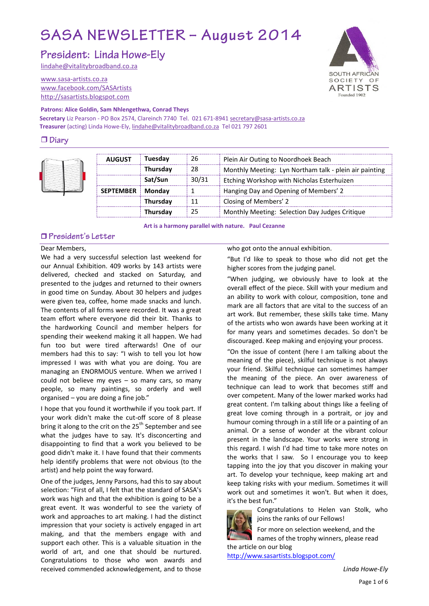# SASA NEWSLETTER - August 2014

President: Linda Howe-Ely

[lindahe@vitalitybroadband.co.za](mailto:lindahe@vitalitybroadband.co.za)

[www.sasa-artists.co.za](http://www.sasa-artists.co.za/) [www.facebook.com/SASArtists](http://www.facebook.com/SASArtists) [http://sasartists.blogspot.com](http://sasartists.blogspot.com/)

#### **Patrons: Alice Goldin, Sam Nhlengethwa, Conrad Theys**

**Secretary** Liz Pearson - PO Box 2574, Clareinch 7740 Tel. 021 671-894[1 secretary@sasa-artists.co.za](mailto:secretary@sasa-artists.co.za) **Treasurer** (acting) Linda Howe-Ely[, lindahe@vitalitybroadband.co.za](mailto:lindahe@vitalitybroadband.co.za) Tel 021 797 2601

# $\Box$  Diary



| <b>AUGUST</b>              | Tuesdav         | 26    | Plein Air Outing to Noordhoek Beach                    |
|----------------------------|-----------------|-------|--------------------------------------------------------|
|                            | Thursday        | 28    | Monthly Meeting: Lyn Northam talk - plein air painting |
|                            | Sat/Sun         | 30/31 | Etching Workshop with Nicholas Esterhuizen             |
| <b>SEPTEMBER</b><br>Monday |                 |       | Hanging Day and Opening of Members' 2                  |
|                            | Thursday        | 11    | Closing of Members' 2                                  |
|                            | <b>Thursday</b> | 25    | Monthly Meeting: Selection Day Judges Critique         |

**Art is a harmony parallel with nature. Paul Cezanne**

# □ President's Letter

#### Dear Members,

We had a very successful selection last weekend for our Annual Exhibition. 409 works by 143 artists were delivered, checked and stacked on Saturday, and presented to the judges and returned to their owners in good time on Sunday. About 30 helpers and judges were given tea, coffee, home made snacks and lunch. The contents of all forms were recorded. It was a great team effort where everyone did their bit. Thanks to the hardworking Council and member helpers for spending their weekend making it all happen. We had fun too but were tired afterwards! One of our members had this to say: "I wish to tell you lot how impressed I was with what you are doing. You are managing an ENORMOUS venture. When we arrived I could not believe my eyes – so many cars, so many people, so many paintings, so orderly and well organised – you are doing a fine job."

I hope that you found it worthwhile if you took part. If your work didn't make the cut-off score of 8 please bring it along to the crit on the 25<sup>th</sup> September and see what the judges have to say. It's disconcerting and disappointing to find that a work you believed to be good didn't make it. I have found that their comments help identify problems that were not obvious (to the artist) and help point the way forward.

One of the judges, Jenny Parsons, had this to say about selection: "First of all, I felt that the standard of SASA's work was high and that the exhibition is going to be a great event. It was wonderful to see the variety of work and approaches to art making. I had the distinct impression that your society is actively engaged in art making, and that the members engage with and support each other. This is a valuable situation in the world of art, and one that should be nurtured. Congratulations to those who won awards and received commended acknowledgement, and to those

who got onto the annual exhibition.

"But I'd like to speak to those who did not get the higher scores from the judging panel.

"When judging, we obviously have to look at the overall effect of the piece. Skill with your medium and an ability to work with colour, composition, tone and mark are all factors that are vital to the success of an art work. But remember, these skills take time. Many of the artists who won awards have been working at it for many years and sometimes decades. So don't be discouraged. Keep making and enjoying your process.

"On the issue of content (here I am talking about the meaning of the piece), skilful technique is not always your friend. Skilful technique can sometimes hamper the meaning of the piece. An over awareness of technique can lead to work that becomes stiff and over competent. Many of the lower marked works had great content. I'm talking about things like a feeling of great love coming through in a portrait, or joy and humour coming through in a still life or a painting of an animal. Or a sense of wonder at the vibrant colour present in the landscape. Your works were strong in this regard. I wish I'd had time to take more notes on the works that I saw. So I encourage you to keep tapping into the joy that you discover in making your art. To develop your technique, keep making art and keep taking risks with your medium. Sometimes it will work out and sometimes it won't. But when it does, it's the best fun."

> Congratulations to Helen van Stolk, who joins the ranks of our Fellows!

For more on selection weekend, and the names of the trophy winners, please read the article on our blog

<http://www.sasartists.blogspot.com/>

*Linda Howe-Ely*

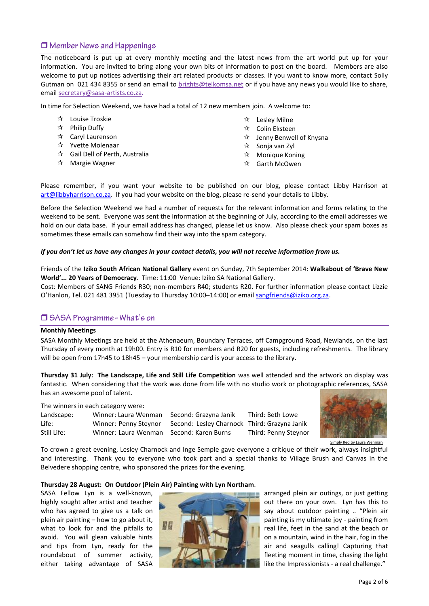# $\Box$  Member News and Happenings

The noticeboard is put up at every monthly meeting and the latest news from the art world put up for your information. You are invited to bring along your own bits of information to post on the board. Members are also welcome to put up notices advertising their art related products or classes. If you want to know more, contact Solly Gutman on 021 434 8355 or send an email to [brights@telkomsa.net](mailto:brights@telkomsa.net) or if you have any news you would like to share, email [secretary@sasa-artists.co.za.](mailto:secretary@sasa-artists.co.za)

In time for Selection Weekend, we have had a total of 12 new members join. A welcome to:

| ☆ |  | Louise Troskie |
|---|--|----------------|
|---|--|----------------|

- $\mathbf{\hat{x}}$  Philip Duffy
- Caryl Laurenson
- ☆ Yvette Molenaar
- Gail Dell of Perth, Australia
- $\mathbf{\hat{x}}$  Margie Wagner
- $\mathbf{\hat{x}}$  Lesley Milne
- ☆ Colin Eksteen
	- Jenny Benwell of Knysna
- $\mathbf{\hat{x}}$  Sonja van Zyl
- $\mathbf{\hat{x}}$  Monique Koning
- ☆ Garth McOwen

Please remember, if you want your website to be published on our blog, please contact Libby Harrison at [art@libbyharrison.co.za.](mailto:art@libbyharrison.co.za) If you had your website on the blog, please re-send your details to Libby.

Before the Selection Weekend we had a number of requests for the relevant information and forms relating to the weekend to be sent. Everyone was sent the information at the beginning of July, according to the email addresses we hold on our data base. If your email address has changed, please let us know. Also please check your spam boxes as sometimes these emails can somehow find their way into the spam category.

#### *If you don't let us have any changes in your contact details, you will not receive information from us.*

Friends of the **Iziko South African National Gallery** event on Sunday, 7th September 2014: **Walkabout of 'Brave New World'... 20 Years of Democracy**. Time: 11:00 Venue: Iziko SA National Gallery.

Cost: Members of SANG Friends R30; non-members R40; students R20. For further information please contact Lizzie O'Hanlon, Tel. 021 481 3951 (Tuesday to Thursday 10:00-14:00) or email [sangfriends@iziko.org.za.](mailto:sangfriends@iziko.org.za)

## □ SASA Programme - What's on

#### **Monthly Meetings**

SASA Monthly Meetings are held at the Athenaeum, Boundary Terraces, off Campground Road, Newlands, on the last Thursday of every month at 19h00. Entry is R10 for members and R20 for guests, including refreshments. The library will be open from 17h45 to 18h45 – your membership card is your access to the library.

**Thursday 31 July: The Landscape, Life and Still Life Competition** was well attended and the artwork on display was fantastic. When considering that the work was done from life with no studio work or photographic references, SASA has an awesome pool of talent.

The winners in each category were:

| Landscape:  | Winner: Laura Wenman  | Second: Grazyna J |
|-------------|-----------------------|-------------------|
| Life:       | Winner: Penny Steynor | Second: Lesley Ch |
| Still Life: | Winner: Laura Wenman  | Second: Karen Bur |

lanik Third: Beth Lowe larnock Third: Grazyna Janik rns Third: Penny Steynor



Simply Red by Laura Wenman

To crown a great evening, Lesley Charnock and Inge Semple gave everyone a critique of their work, always insightful and interesting. Thank you to everyone who took part and a special thanks to Village Brush and Canvas in the Belvedere shopping centre, who sponsored the prizes for the evening.

#### **Thursday 28 August: On Outdoor (Plein Air) Painting with Lyn Northam**.

SASA Fellow Lyn is a well-known, highly sought after artist and teacher who has agreed to give us a talk on plein air painting – how to go about it, what to look for and the pitfalls to avoid. You will glean valuable hints and tips from Lyn, ready for the roundabout of summer activity, either taking advantage of SASA



arranged plein air outings, or just getting out there on your own. Lyn has this to say about outdoor painting .. "Plein air painting is my ultimate joy - painting from real life, feet in the sand at the beach or on a mountain, wind in the hair, fog in the air and seagulls calling! Capturing that fleeting moment in time, chasing the light like the Impressionists - a real challenge."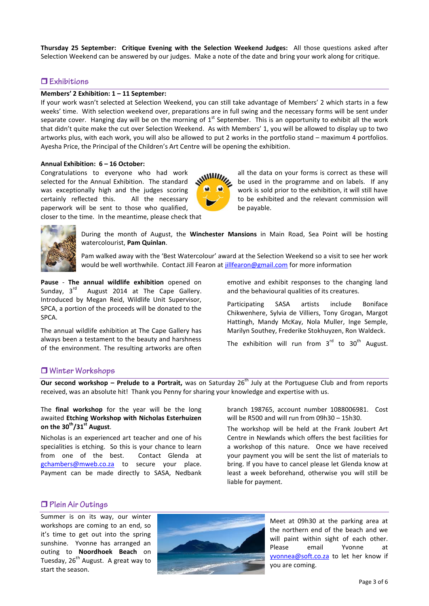**Thursday 25 September: Critique Evening with the Selection Weekend Judges:** All those questions asked after Selection Weekend can be answered by our judges. Make a note of the date and bring your work along for critique.

## $\Box$  Exhibitions

#### **Members' 2 Exhibition: 1 – 11 September:**

If your work wasn't selected at Selection Weekend, you can still take advantage of Members' 2 which starts in a few weeks' time. With selection weekend over, preparations are in full swing and the necessary forms will be sent under separate cover. Hanging day will be on the morning of  $1<sup>st</sup>$  September. This is an opportunity to exhibit all the work that didn't quite make the cut over Selection Weekend. As with Members' 1, you will be allowed to display up to two artworks plus, with each work, you will also be allowed to put 2 works in the portfolio stand – maximum 4 portfolios. Ayesha Price, the Principal of the Children's Art Centre will be opening the exhibition.

#### **Annual Exhibition: 6 – 16 October:**

Congratulations to everyone who had work selected for the Annual Exhibition. The standard was exceptionally high and the judges scoring certainly reflected this. All the necessary paperwork will be sent to those who qualified,

closer to the time. In the meantime, please check that

all the data on your forms is correct as these will be used in the programme and on labels. If any work is sold prior to the exhibition, it will still have to be exhibited and the relevant commission will be payable.



During the month of August, the **Winchester Mansions** in Main Road, Sea Point will be hosting watercolourist, **Pam Quinlan**.

Pam walked away with the 'Best Watercolour' award at the Selection Weekend so a visit to see her work would be well worthwhile. Contact Jill Fearon at [jillfearon@gmail.com](mailto:jillfearon@gmail.com) for more information

**Pause** - **The annual wildlife exhibition** opened on Sunday,  $3^{rd}$  August 2014 at The Cape Gallery. Introduced by Megan Reid, Wildlife Unit Supervisor, SPCA, a portion of the proceeds will be donated to the SPCA.

The annual wildlife exhibition at The Cape Gallery has always been a testament to the beauty and harshness of the environment. The resulting artworks are often emotive and exhibit responses to the changing land and the behavioural qualities of its creatures.

Participating SASA artists include Boniface Chikwenhere, Sylvia de Villiers, Tony Grogan, Margot Hattingh, Mandy McKay, Nola Muller, Inge Semple, Marilyn Southey, Frederike Stokhuyzen, Ron Waldeck.

The exhibition will run from  $3<sup>rd</sup>$  to  $30<sup>th</sup>$  August.

## **U** Winter Workshops

**Our second workshop – Prelude to a Portrait,** was on Saturday 26<sup>th</sup> July at the Portuguese Club and from reports received, was an absolute hit! Thank you Penny for sharing your knowledge and expertise with us.

The **final workshop** for the year will be the long awaited **Etching Workshop with Nicholas Esterhuizen on the 30th/31st August**.

Nicholas is an experienced art teacher and one of his specialities is etching. So this is your chance to learn from one of the best. Contact Glenda at [gchambers@mweb.co.za](mailto:gchambers@mweb.co.za) to secure your place. Payment can be made directly to SASA, Nedbank branch 198765, account number 1088006981. Cost will be R500 and will run from 09h30 – 15h30.

The workshop will be held at the Frank Joubert Art Centre in Newlands which offers the best facilities for a workshop of this nature. Once we have received your payment you will be sent the list of materials to bring. If you have to cancel please let Glenda know at least a week beforehand, otherwise you will still be liable for payment.

#### $\Box$  Plein Air Outings

Summer is on its way, our winter workshops are coming to an end, so it's time to get out into the spring sunshine. Yvonne has arranged an outing to **Noordhoek Beach** on Tuesday,  $26<sup>th</sup>$  August. A great way to start the season.



Meet at 09h30 at the parking area at the northern end of the beach and we will paint within sight of each other. Please email Yvonne at [yvonnea@soft.co.za](mailto:yvonnea@soft.co.za) to let her know if you are coming.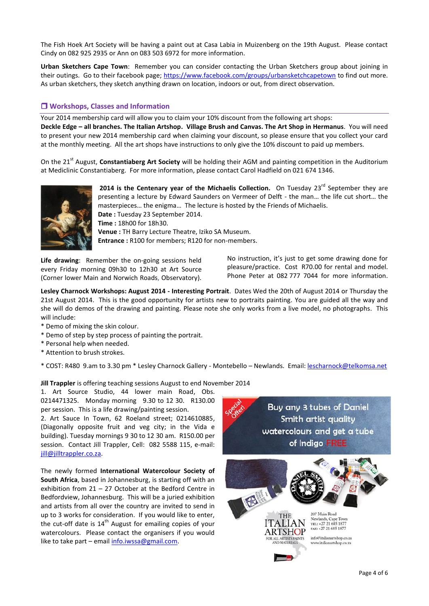The Fish Hoek Art Society will be having a paint out at Casa Labia in Muizenberg on the 19th August. Please contact Cindy on 082 925 2935 or Ann on 083 503 6972 for more information.

**Urban Sketchers Cape Town**: Remember you can consider contacting the Urban Sketchers group about joining in their outings. Go to their facebook page; <https://www.facebook.com/groups/urbansketchcapetown> to find out more. As urban sketchers, they sketch anything drawn on location, indoors or out, from direct observation.

# **Workshops, Classes and Information**

Your 2014 membership card will allow you to claim your 10% discount from the following art shops: **Deckle Edge – all branches. The Italian Artshop. Village Brush and Canvas. The Art Shop in Hermanus**. You will need to present your new 2014 membership card when claiming your discount, so please ensure that you collect your card at the monthly meeting. All the art shops have instructions to only give the 10% discount to paid up members.

On the 21<sup>st</sup> August, **Constantiaberg Art Society** will be holding their AGM and painting competition in the Auditorium at Mediclinic Constantiaberg. For more information, please contact Carol Hadfield on 021 674 1346.



2014 is the Centenary year of the Michaelis Collection. On Tuesday 23<sup>rd</sup> September they are presenting a lecture by Edward Saunders on Vermeer of Delft - the man… the life cut short… the masterpieces… the enigma… The lecture is hosted by the Friends of Michaelis. **Date :** Tuesday 23 September 2014. **Time :** 18h00 for 18h30. **Venue :** TH Barry Lecture Theatre, Iziko SA Museum. **Entrance :** R100 for members; R120 for non-members.

**Life drawing**: Remember the on-going sessions held every Friday morning 09h30 to 12h30 at Art Source (Corner lower Main and Norwich Roads, Observatory). No instruction, it's just to get some drawing done for pleasure/practice. Cost R70.00 for rental and model. Phone Peter at 082 777 7044 for more information.

**Lesley Charnock Workshops: August 2014 - Interesting Portrait**. Dates Wed the 20th of August 2014 or Thursday the 21st August 2014. This is the good opportunity for artists new to portraits painting. You are guided all the way and she will do demos of the drawing and painting. Please note she only works from a live model, no photographs. This will include:

- \* Demo of mixing the skin colour.
- \* Demo of step by step process of painting the portrait.
- \* Personal help when needed.
- \* Attention to brush strokes.

\* COST: R480 9.am to 3.30 pm \* Lesley Charnock Gallery - Montebello – Newlands. Email: [lescharnock@telkomsa.net](mailto:lescharnock@telkomsa.net)

**Jill Trappler** is offering teaching sessions August to end November 2014

1. Art Source Studio, 44 lower main Road, Obs. 0214471325. Monday morning 9.30 to 12 30. R130.00 per session. This is a life drawing/painting session.

2. Art Sauce In Town, 62 Roeland street; 0214610885, (Diagonally opposite fruit and veg city; in the Vida e building). Tuesday mornings 9 30 to 12 30 am. R150.00 per session. Contact Jill Trappler, Cell: 082 5588 115, e-mail: [jill@jilltrappler.co.za.](mailto:jill@jilltrappler.co.za)

The newly formed **International Watercolour Society of South Africa**, based in Johannesburg, is starting off with an exhibition from 21 – 27 October at the Bedford Centre in Bedfordview, Johannesburg. This will be a juried exhibition and artists from all over the country are invited to send in up to 3 works for consideration. If you would like to enter, the cut-off date is  $14<sup>th</sup>$  August for emailing copies of your watercolours. Please contact the organisers if you would like to take part – email [info.iwssa@gmail.com.](mailto:info.iwssa@gmail.com)

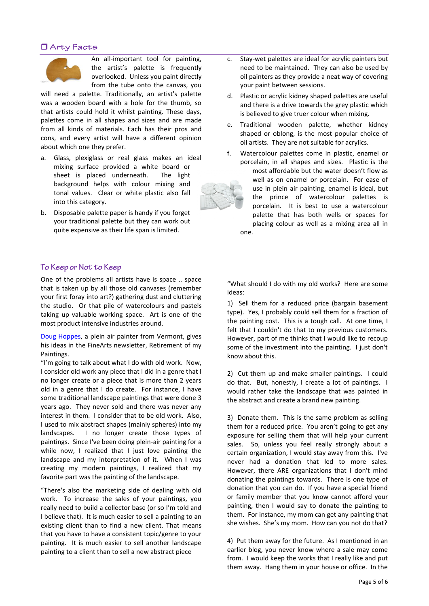# **O** Arty Facts



An all-important tool for painting, the artist's palette is frequently overlooked. Unless you paint directly from the tube onto the canvas, you

will need a palette. Traditionally, an artist's palette was a wooden board with a hole for the thumb, so that artists could hold it whilst painting. These days, palettes come in all shapes and sizes and are made from all kinds of materials. Each has their pros and cons, and every artist will have a different opinion about which one they prefer.

- a. Glass, plexiglass or real glass makes an ideal mixing surface provided a white board or sheet is placed underneath. The light background helps with colour mixing and tonal values. Clear or white plastic also fall into this category.
- b. Disposable palette paper is handy if you forget your traditional palette but they can work out quite expensive as their life span is limited.
- To Keep or Not to Keep

One of the problems all artists have is space .. space that is taken up by all those old canvases (remember your first foray into art?) gathering dust and cluttering the studio. Or that pile of watercolours and pastels taking up valuable working space. Art is one of the most product intensive industries around.

[Doug Hoppes,](http://doughoppes.com/) a plein air painter from Vermont, gives his ideas in the FineArts newsletter, Retirement of my Paintings.

"I'm going to talk about what I do with old work. Now, I consider old work any piece that I did in a genre that I no longer create or a piece that is more than 2 years old in a genre that I do create. For instance, I have some traditional landscape paintings that were done 3 years ago. They never sold and there was never any interest in them. I consider that to be old work. Also, I used to mix abstract shapes (mainly spheres) into my landscapes. I no longer create those types of paintings. Since I've been doing plein-air painting for a while now, I realized that I just love painting the landscape and my interpretation of it. When I was creating my modern paintings, I realized that my favorite part was the painting of the landscape.

"There's also the marketing side of dealing with old work. To increase the sales of your paintings, you really need to build a collector base (or so I'm told and I believe that). It is much easier to sell a painting to an existing client than to find a new client. That means that you have to have a consistent topic/genre to your painting. It is much easier to sell another landscape painting to a client than to sell a new abstract piece

- c. Stay-wet palettes are ideal for acrylic painters but need to be maintained. They can also be used by oil painters as they provide a neat way of covering your paint between sessions.
- d. Plastic or acrylic kidney shaped palettes are useful and there is a drive towards the grey plastic which is believed to give truer colour when mixing.
- e. Traditional wooden palette, whether kidney shaped or oblong, is the most popular choice of oil artists. They are not suitable for acrylics.
- f. Watercolour palettes come in plastic, enamel or porcelain, in all shapes and sizes. Plastic is the most affordable but the water doesn't flow as well as on enamel or porcelain. For ease of use in plein air painting, enamel is ideal, but the prince of watercolour palettes is porcelain. It is best to use a watercolour palette that has both wells or spaces for placing colour as well as a mixing area all in one.

"What should I do with my old works? Here are some ideas:

1) Sell them for a reduced price (bargain basement type). Yes, I probably could sell them for a fraction of the painting cost. This is a tough call. At one time, I felt that I couldn't do that to my previous customers. However, part of me thinks that I would like to recoup some of the investment into the painting. I just don't know about this.

2) Cut them up and make smaller paintings. I could do that. But, honestly, I create a lot of paintings. I would rather take the landscape that was painted in the abstract and create a brand new painting.

3) Donate them. This is the same problem as selling them for a reduced price. You aren't going to get any exposure for selling them that will help your current sales. So, unless you feel really strongly about a certain organization, I would stay away from this. I've never had a donation that led to more sales. However, there ARE organizations that I don't mind donating the paintings towards. There is one type of donation that you can do. If you have a special friend or family member that you know cannot afford your painting, then I would say to donate the painting to them. For instance, my mom can get any painting that she wishes. She's my mom. How can you not do that?

4) Put them away for the future. As I mentioned in an earlier blog, you never know where a sale may come from. I would keep the works that I really like and put them away. Hang them in your house or office. In the